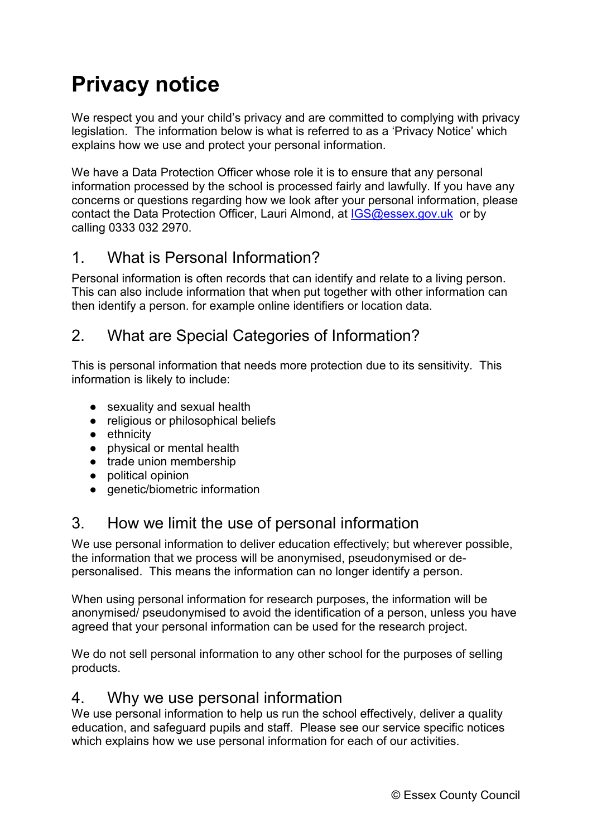# **Privacy notice**

We respect you and your child's privacy and are committed to complying with privacy legislation. The information below is what is referred to as a 'Privacy Notice' which explains how we use and protect your personal information.

We have a Data Protection Officer whose role it is to ensure that any personal information processed by the school is processed fairly and lawfully. If you have any concerns or questions regarding how we look after your personal information, please contact the Data Protection Officer, Lauri Almond, at [IGS@essex.gov.uk](mailto:IGS@essex.gov.uk) or by calling 0333 032 2970.

### 1. What is Personal Information?

Personal information is often records that can identify and relate to a living person. This can also include information that when put together with other information can then identify a person. for example online identifiers or location data.

# 2. What are Special Categories of Information?

This is personal information that needs more protection due to its sensitivity. This information is likely to include:

- sexuality and sexual health
- religious or philosophical beliefs
- ethnicity
- physical or mental health
- trade union membership
- political opinion
- genetic/biometric information

# 3. How we limit the use of personal information

We use personal information to deliver education effectively; but wherever possible, the information that we process will be anonymised, pseudonymised or depersonalised. This means the information can no longer identify a person.

When using personal information for research purposes, the information will be anonymised/ pseudonymised to avoid the identification of a person, unless you have agreed that your personal information can be used for the research project.

We do not sell personal information to any other school for the purposes of selling products.

#### 4. Why we use personal information

We use personal information to help us run the school effectively, deliver a quality education, and safeguard pupils and staff. Please see our service specific notices which explains how we use personal information for each of our activities.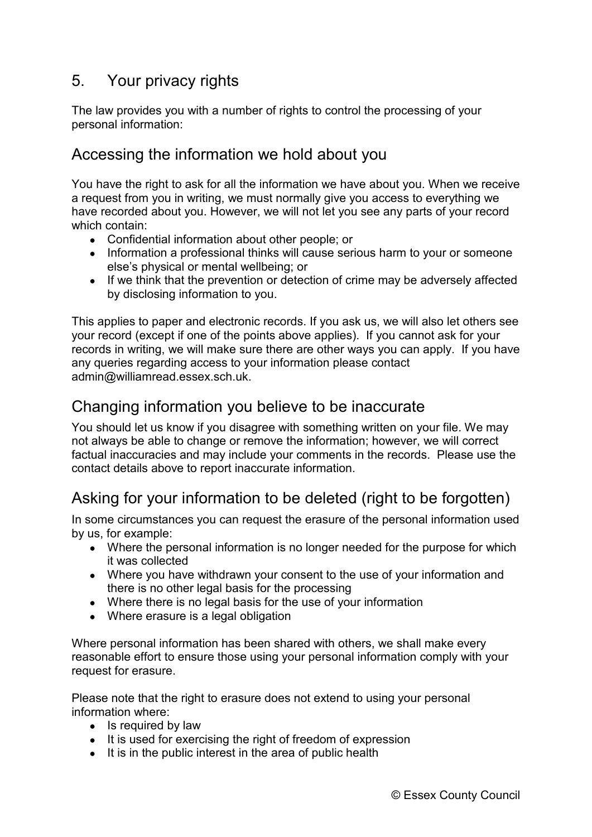### 5. Your privacy rights

The law provides you with a number of rights to control the processing of your personal information:

#### Accessing the information we hold about you

You have the right to ask for all the information we have about you. When we receive a request from you in writing, we must normally give you access to everything we have recorded about you. However, we will not let you see any parts of your record which contain:

- Confidential information about other people; or
- Information a professional thinks will cause serious harm to your or someone else's physical or mental wellbeing; or
- If we think that the prevention or detection of crime may be adversely affected by disclosing information to you.

This applies to paper and electronic records. If you ask us, we will also let others see your record (except if one of the points above applies). If you cannot ask for your records in writing, we will make sure there are other ways you can apply. If you have any queries regarding access to your information please contact admin@williamread.essex.sch.uk.

#### Changing information you believe to be inaccurate

You should let us know if you disagree with something written on your file. We may not always be able to change or remove the information; however, we will correct factual inaccuracies and may include your comments in the records. [Please use the](https://forms.essex.gov.uk/default.aspx/RenderForm/?F.Name=r4Qcams7sBg&HideAll=1)  [contact details above to report inaccurate information.](https://forms.essex.gov.uk/default.aspx/RenderForm/?F.Name=r4Qcams7sBg&HideAll=1)

# Asking for your information to be deleted (right to be forgotten)

In some circumstances you can request the erasure of the personal information used by us, for example:

- Where the personal information is no longer needed for the purpose for which it was collected
- Where you have withdrawn your consent to the use of your information and there is no other legal basis for the processing
- Where there is no legal basis for the use of your information
- Where erasure is a legal obligation

Where personal information has been shared with others, we shall make every reasonable effort to ensure those using your personal information comply with your request for erasure.

Please note that the right to erasure does not extend to using your personal information where:

- Is required by law
- It is used for exercising the right of freedom of expression
- It is in the public interest in the area of public health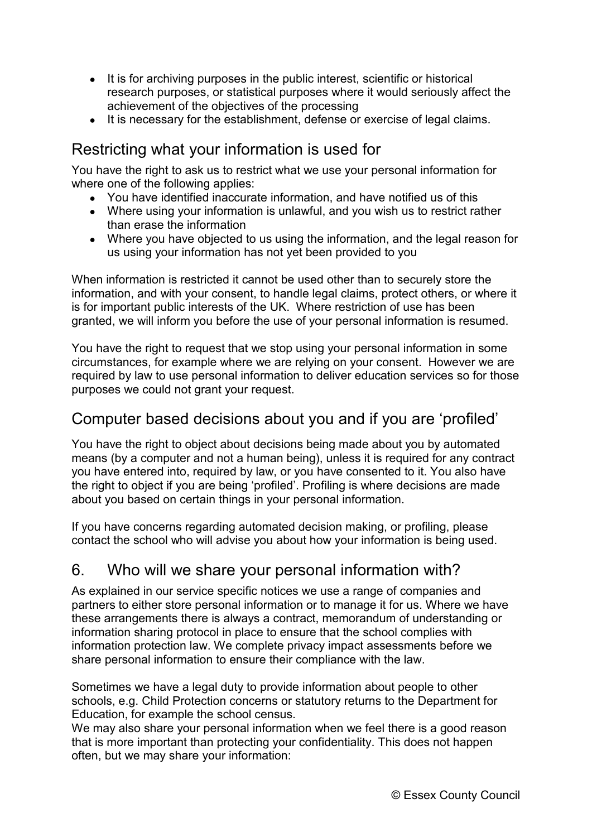- It is for archiving purposes in the public interest, scientific or historical research purposes, or statistical purposes where it would seriously affect the achievement of the objectives of the processing
- It is necessary for the establishment, defense or exercise of legal claims.

# Restricting what your information is used for

You have the right to ask us to restrict what we use your personal information for where one of the following applies:

- You have identified inaccurate information, and have notified us of this
- Where using your information is unlawful, and you wish us to restrict rather than erase the information
- Where you have objected to us using the information, and the legal reason for us using your information has not yet been provided to you

When information is restricted it cannot be used other than to securely store the information, and with your consent, to handle legal claims, protect others, or where it is for important public interests of the UK. Where restriction of use has been granted, we will inform you before the use of your personal information is resumed.

You have the right to request that we stop using your personal information in some circumstances, for example where we are relying on your consent. However we are required by law to use personal information to deliver education services so for those purposes we could not grant your request.

#### Computer based decisions about you and if you are 'profiled'

You have the right to object about decisions being made about you by automated means (by a computer and not a human being), unless it is required for any contract you have entered into, required by law, or you have consented to it. You also have the right to object if you are being 'profiled'. Profiling is where decisions are made about you based on certain things in your personal information.

If you have concerns regarding automated decision making, or profiling, please contact the school who will advise you about how your information is being used.

# 6. Who will we share your personal information with?

As explained in our service specific notices we use a range of companies and partners to either store personal information or to manage it for us. Where we have these arrangements there is always a contract, memorandum of understanding or information sharing protocol in place to ensure that the school complies with information protection law. We complete privacy impact assessments before we share personal information to ensure their compliance with the law.

Sometimes we have a legal duty to provide information about people to other schools, e.g. Child Protection concerns or statutory returns to the Department for Education, for example the school census.

We may also share your personal information when we feel there is a good reason that is more important than protecting your confidentiality. This does not happen often, but we may share your information: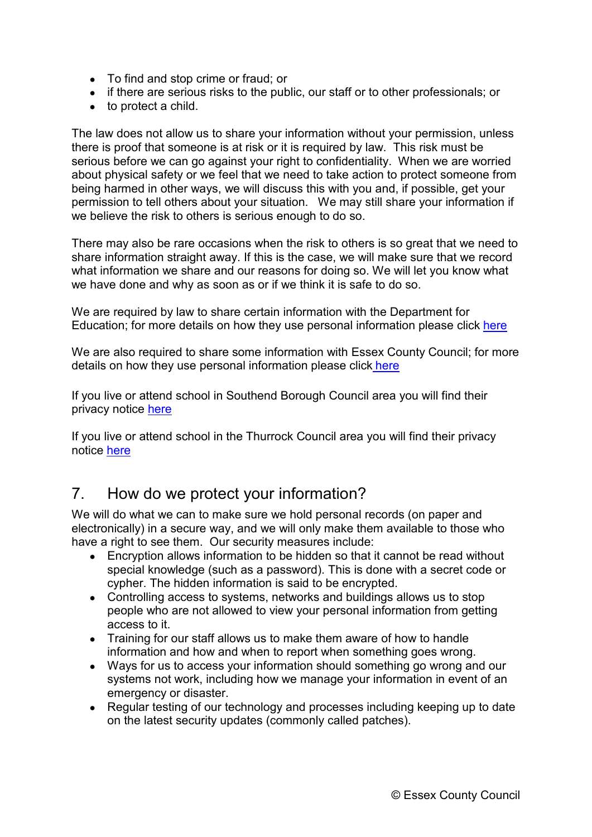- To find and stop crime or fraud; or
- if there are serious risks to the public, our staff or to other professionals; or
- to protect a child.

The law does not allow us to share your information without your permission, unless there is proof that someone is at risk or it is required by law. This risk must be serious before we can go against your right to confidentiality. When we are worried about physical safety or we feel that we need to take action to protect someone from being harmed in other ways, we will discuss this with you and, if possible, get your permission to tell others about your situation. We may still share your information if we believe the risk to others is serious enough to do so.

There may also be rare occasions when the risk to others is so great that we need to share information straight away. If this is the case, we will make sure that we record what information we share and our reasons for doing so. We will let you know what we have done and why as soon as or if we think it is safe to do so.

We are required by law to share certain information with the Department for Education; for more details on how they use personal information please click [here](https://www.gov.uk/guidance/data-protection-how-we-collect-and-share-research-data)

We are also required to share some information with Essex County Council; for more details on how they use personal information please click [here](http://www.essex.gov.uk/privacy-notices/Pages/Default.aspx)

If you live or attend school in Southend Borough Council area you will find their privacy notice [here](https://www.southend.gov.uk/privacynotice)

If you live or attend school in the Thurrock Council area you will find their privacy notice [here](https://www.thurrock.gov.uk/privacy)

#### 7. How do we protect your information?

We will do what we can to make sure we hold personal records (on paper and electronically) in a secure way, and we will only make them available to those who have a right to see them. Our security measures include:

- Encryption allows information to be hidden so that it cannot be read without special knowledge (such as a password). This is done with a secret code or cypher. The hidden information is said to be encrypted.
- Controlling access to systems, networks and buildings allows us to stop people who are not allowed to view your personal information from getting access to it.
- Training for our staff allows us to make them aware of how to handle information and how and when to report when something goes wrong.
- Ways for us to access your information should something go wrong and our systems not work, including how we manage your information in event of an emergency or disaster.
- Regular testing of our technology and processes including keeping up to date on the latest security updates (commonly called patches).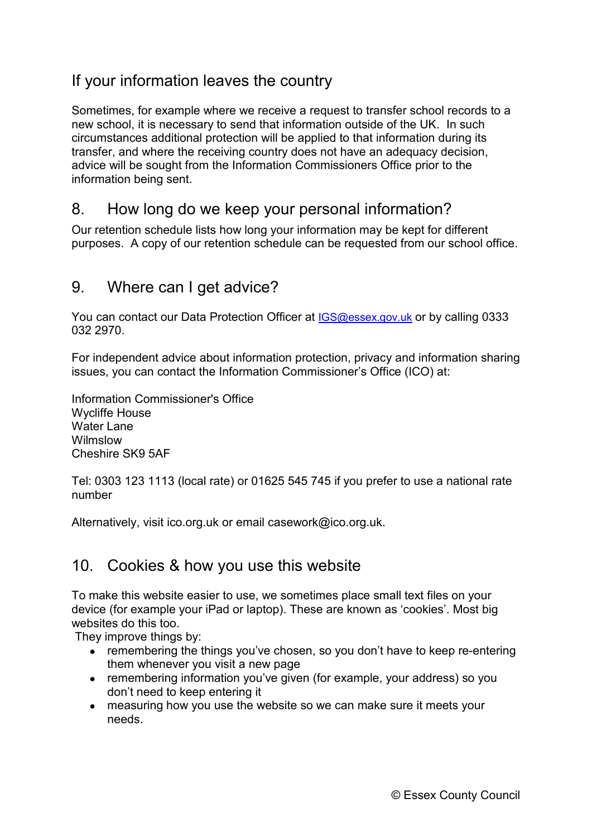# If your information leaves the country

Sometimes, for example where we receive a request to transfer school records to a new school, it is necessary to send that information outside of the UK. In such circumstances additional protection will be applied to that information during its transfer, and where the receiving country does not have an adequacy decision, advice will be sought from the Information Commissioners Office prior to the information being sent.

#### 8. How long do we keep your personal information?

Our retention schedule lists how long your information may be kept for different purposes. A copy of our retention schedule can be requested from our school office.

#### 9. Where can I get advice?

You can contact our Data Protection Officer at **IGS@essex.gov.uk** or by calling 0333 032 2970.

For independent advice about information protection, privacy and information sharing issues, you can contact the Information Commissioner's Office (ICO) at:

Information Commissioner's Office Wycliffe House Water Lane Wilmslow Cheshire SK9 5AF

Tel: 0303 123 1113 (local rate) or 01625 545 745 if you prefer to use a national rate number

Alternatively, visit [ico.org.uk](https://ico.org.uk/) or email [casework@ico.org.uk.](mailto:casework@ico.org.uk)

#### 10. Cookies & how you use this website

To make this website easier to use, we sometimes place small text files on your device (for example your iPad or laptop). These are known as 'cookies'. Most big websites do this too.

They improve things by:

- remembering the things you've chosen, so you don't have to keep re-entering them whenever you visit a new page
- remembering information you've given (for example, your address) so you don't need to keep entering it
- measuring how you use the website so we can make sure it meets your needs.